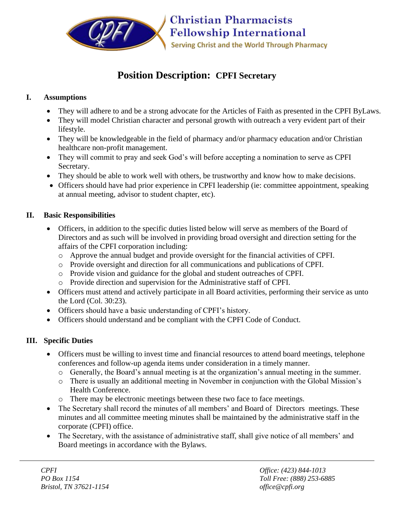

# **Position Description: CPFI Secretary**

### **I. Assumptions**

- They will adhere to and be a strong advocate for the Articles of Faith as presented in the CPFI ByLaws.
- They will model Christian character and personal growth with outreach a very evident part of their lifestyle.
- They will be knowledgeable in the field of pharmacy and/or pharmacy education and/or Christian healthcare non-profit management.
- They will commit to pray and seek God's will before accepting a nomination to serve as CPFI Secretary.
- They should be able to work well with others, be trustworthy and know how to make decisions.
- Officers should have had prior experience in CPFI leadership (ie: committee appointment, speaking at annual meeting, advisor to student chapter, etc).

#### **II. Basic Responsibilities**

- Officers, in addition to the specific duties listed below will serve as members of the Board of Directors and as such will be involved in providing broad oversight and direction setting for the affairs of the CPFI corporation including:
	- o Approve the annual budget and provide oversight for the financial activities of CPFI.
	- o Provide oversight and direction for all communications and publications of CPFI.
	- o Provide vision and guidance for the global and student outreaches of CPFI.
	- o Provide direction and supervision for the Administrative staff of CPFI.
- Officers must attend and actively participate in all Board activities, performing their service as unto the Lord (Col. 30:23).
- Officers should have a basic understanding of CPFI's history.
- Officers should understand and be compliant with the CPFI Code of Conduct.

## **III. Specific Duties**

- Officers must be willing to invest time and financial resources to attend board meetings, telephone conferences and follow-up agenda items under consideration in a timely manner.
	- o Generally, the Board's annual meeting is at the organization's annual meeting in the summer.
	- o There is usually an additional meeting in November in conjunction with the Global Mission's Health Conference.
	- o There may be electronic meetings between these two face to face meetings.
- The Secretary shall record the minutes of all members' and Board of Directors meetings. These minutes and all committee meeting minutes shall be maintained by the administrative staff in the corporate (CPFI) office.
- The Secretary, with the assistance of administrative staff, shall give notice of all members' and Board meetings in accordance with the Bylaws.